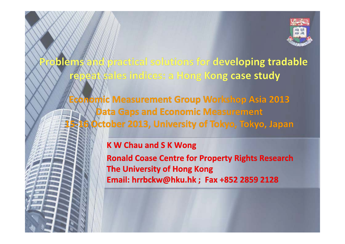

Problems and practical solutions for developing tradable repeat sales indices: a Hong Kong case study

Economic Measurement Group Workshop Asia 2013 **Data Gaps and Economic Measurement** 15-16 October 2013, University of Tokyo, Tokyo, Japan

#### **K W Chau and S K Wong**

**Ronald Coase Centre for Property Rights Research The University of Hong Kong** Email: hrrbckw@hku.hk ; Fax +852 2859 2128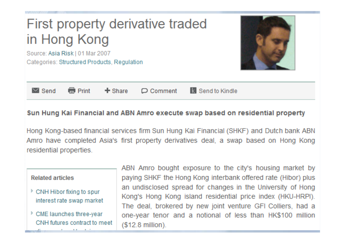#### First property derivative traded in Hong Kong

Source: Asia Risk | 01 Mar 2007 Categories: Structured Products, Regulation



|  | $\bowtie$ Send $\blacksquare$ Print |  |  | $\div$ Share $\Box$ Comment $\Box$ Send to Kindle |
|--|-------------------------------------|--|--|---------------------------------------------------|
|--|-------------------------------------|--|--|---------------------------------------------------|

#### Sun Hung Kai Financial and ABN Amro execute swap based on residential property

Hong Kong-based financial services firm Sun Hung Kai Financial (SHKF) and Dutch bank ABN Amro have completed Asia's first property derivatives deal, a swap based on Hong Kong residential properties.

#### **Related articles**

- <sup>></sup> CNH Hibor fixing to spur interest rate swap market
- <sup>></sup> CME launches three-vear CNH futures contract to meet

ABN Amro bought exposure to the city's housing market by paying SHKF the Hong Kong interbank offered rate (Hibor) plus an undisclosed spread for changes in the University of Hong Kong's Hong Kong island residential price index (HKU-HRPI). The deal, brokered by new joint venture GFI Colliers, had a one-year tenor and a notional of less than HK\$100 million (\$12.8 million).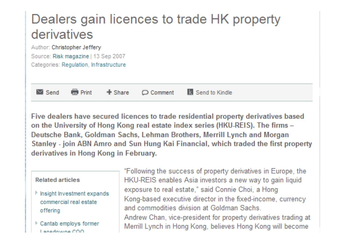#### Dealers gain licences to trade HK property derivatives

Author: Christopher Jefferv Source: Risk magazine I 13 Sep 2007 Categories: Regulation, Infrastructure



 $+$  Share **Red** Print

 $\Box$  Comment

**K** Send to Kindle

Five dealers have secured licences to trade residential property derivatives based on the University of Hong Kong real estate index series (HKU-REIS). The firms -Deutsche Bank, Goldman Sachs, Lehman Brothers, Merrill Lynch and Morgan Stanley - join ABN Amro and Sun Hung Kai Financial, which traded the first property derivatives in Hong Kong in February.

#### **Related articles**

- insight Investment expands commercial real estate offering
- Cantab employs former Lanedowna COO

"Following the success of property derivatives in Europe, the HKU-REIS enables Asia investors a new way to gain liquid exposure to real estate," said Connie Choi, a Hong Kong-based executive director in the fixed-income, currency and commodities division at Goldman Sachs Andrew Chan, vice-president for property derivatives trading at Merrill Lynch in Hong Kong, believes Hong Kong will become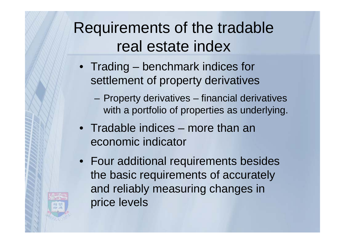Requirements of the tradable real estate index

- Trading benchmark indices for settlement of property derivatives
	- Property derivatives financial derivatives with a portfolio of properties as underlying.
- Tradable indices more than an economic indicator
- Four additional requirements besides the basic requirements of accurately and reliably measuring changes in price levels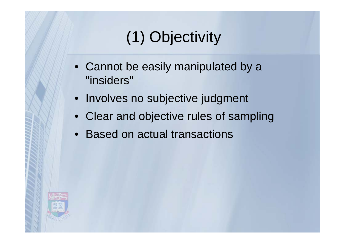# (1) Objectivity

- Cannot be easily manipulated by a "insiders"
- Involves no subjective judgment
- Clear and objective rules of sampling
- Based on actual transactions

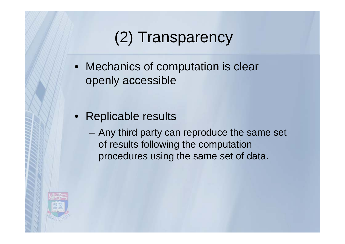# (2) Transparency

- Mechanics of computation is clear openly accessible
- Replicable results
	- Any third party can reproduce the same set of results following the computation procedures using the same set of data.

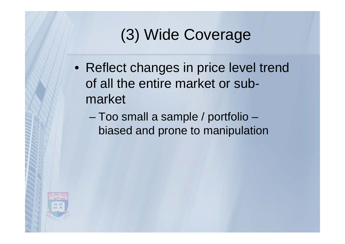# (3) Wide Coverage

- Reflect changes in price level trend of all the entire market or submarket
	- – Too small a sample / portfolio – biased and prone to manipulation

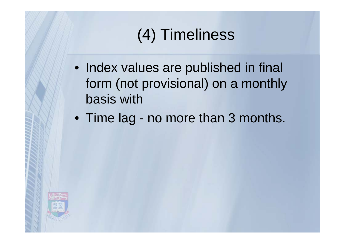# (4) Timeliness

- Index values are published in final form (not provisional) on a monthly basis with
- Time lag no more than 3 months.

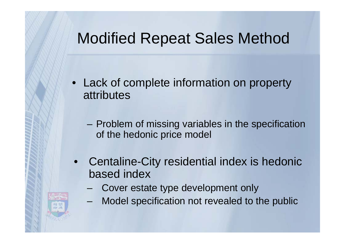#### Modified Repeat Sales Method

- Lack of complete information on property attributes
	- Problem of missing variables in the specification of the hedonic price model
- $\bullet$  Centaline-City residential index is hedonic based index
	- Cover estate type development only
	- –Model specification not revealed to the public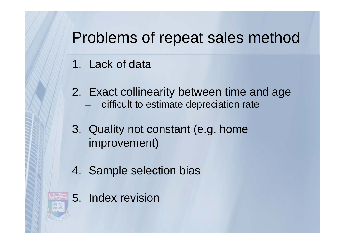### Problems of repeat sales method

- 1. Lack of data
- 2. Exact collinearity between time and age
	- difficult to estimate depreciation rate
- 3. Quality not constant (e.g. home improvement)
- 4. Sample selection bias
- 5. Index revision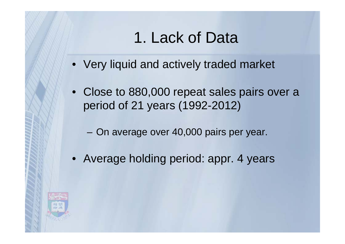## 1. Lack of Data

- Very liquid and actively traded market
- Close to 880,000 repeat sales pairs over a period of 21 years (1992-2012)
	- –On average over 40,000 pairs per year.
- Average holding period: appr. 4 years

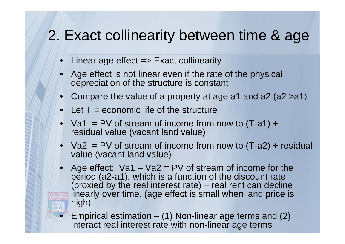#### 2. Exact collinearity between time & age

- Linear age effect => Exact collinearity
- Age effect is not linear even if the rate of the physical depreciation of the structure is constant
- Compare the value of a property at age a1 and a2 (a2 >a1)
- Let T = economic life of the structure

•

- Va1 = PV of stream of income from now to  $(T-a1) +$ residual value (vacant land value)
- Va2 = PV of stream of income from now to (T-a2) + residual value (vacant land value)
- Age effect: Va1 Va2 = PV of stream of income for the period (a2-a1), which is a function of the discount rate (proxied by the real interest rate) – real rent can decline linearly over time. (age effect is small when land price is high)
	- Empirical estimation (1) Non-linear age terms and (2) interact real interest rate with non-linear age terms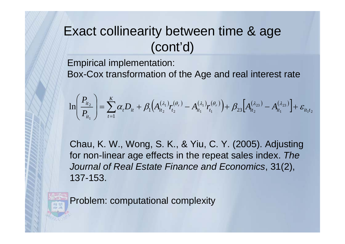#### Exact collinearity between time & age (cont'd)

Empirical implementation:

Box-Cox transformation of the Age and real interest rate

$$
\ln\left(\frac{P_{it_2}}{P_{it_1}}\right) = \sum_{t=1}^{K} \alpha_t D_{it} + \beta_1 \Big( A_{it_2}^{(\lambda_1)} r_{t_2}^{(\theta_r)} - A_{it_1}^{(\lambda_1)} r_{t_1}^{(\theta_r)} \Big) + \beta_{23} \Big[ A_{it_2}^{(\lambda_{23})} - A_{it_1}^{(\lambda_{23})} \Big] + \varepsilon_{it_1t_2}
$$

Chau, K. W., Wong, S. K., & Yiu, C. Y. (2005). Adjusting for non-linear age effects in the repeat sales index. *The Journal of Real Estate Finance and Economics*, 31(2), 137-153.

Problem: computational complexity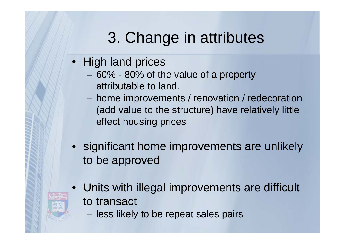# 3. Change in attributes

- High land prices
	- 60% 80% of the value of a property attributable to land.
	- home improvements / renovation / redecoration (add value to the structure) have relatively little effect housing prices
- significant home improvements are unlikely to be approved
- Units with illegal improvements are difficult to transact
	- less likely to be repeat sales pairs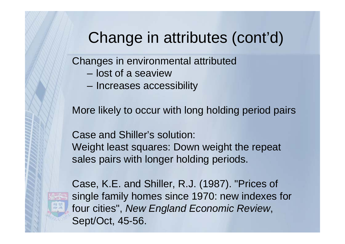## Change in attributes (cont'd)

Changes in environmental attributed

- lost of a seaview
- –Increases accessibility

More likely to occur with long holding period pairs

Case and Shiller's solution: Weight least squares: Down weight the repeat sales pairs with longer holding periods.

Case, K.E. and Shiller, R.J. (1987). "Prices of single family homes since 1970: new indexes for four cities", *New England Economic Review*, Sept/Oct, 45-56.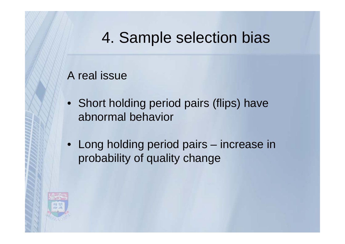## 4. Sample selection bias

#### A real issue

- Short holding period pairs (flips) have abnormal behavior
- Long holding period pairs increase in probability of quality change

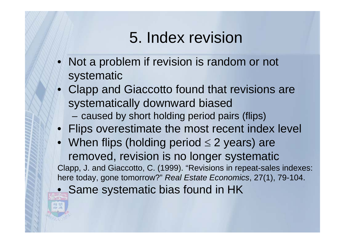## 5. Index revision

- Not a problem if revision is random or not systematic
- Clapp and Giaccotto found that revisions are systematically downward biased
	- –caused by short holding period pairs (flips)
- Flips overestimate the most recent index level
- When flips (holding period  $\leq$  2 years) are removed, revision is no longer systematic Clapp, J. and Giaccotto, C. (1999). "Revisions in repeat-sales indexes: here today, gone tomorrow?" *Real Estate Economics*, 27(1), 79-104.  $\bullet$ Same systematic bias found in HK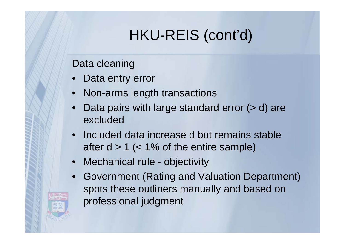## HKU-REIS (cont'd)

Data cleaning

- •Data entry error
- Non-arms length transactions
- •Data pairs with large standard error ( $> d$ ) are excluded
- Included data increase d but remains stable after  $d > 1$  (< 1% of the entire sample)
- Mechanical rule objectivity
- • Government (Rating and Valuation Department) spots these outliners manually and based on professional judgment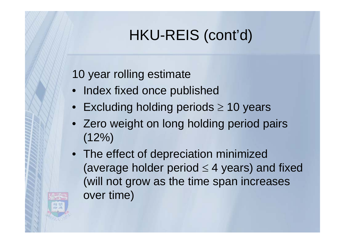## HKU-REIS (cont'd)

#### 10 year rolling estimate

- Index fixed once published
- $\bullet~$  Excluding holding periods  $\geq$  10 years
- Zero weight on long holding period pairs  $(12\%)$
- The effect of depreciation minimized (average holder period  $\leq 4$  years) and fixed (will not grow as the time span increases over time)

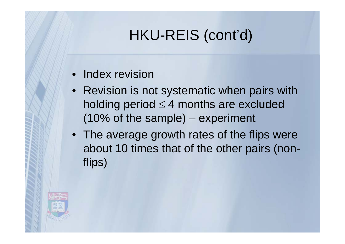## HKU-REIS (cont'd)

#### • Index revision

- Revision is not systematic when pairs with holding period  $\leq 4$  months are excluded (10% of the sample) – experiment
- The average growth rates of the flips were about 10 times that of the other pairs (nonflips)

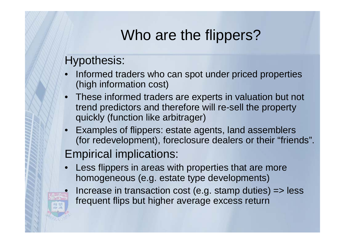## Who are the flippers?

#### Hypothesis:

 $\bullet$ 

- • Informed traders who can spot under priced properties (high information cost)
- • These informed traders are experts in valuation but not trend predictors and therefore will re-sell the property quickly (function like arbitrager)
- • Examples of flippers: estate agents, land assemblers (for redevelopment), foreclosure dealers or their "friends".

#### Empirical implications:

- • Less flippers in areas with properties that are more homogeneous (e.g. estate type developments)
	- Increase in transaction cost (e.g. stamp duties)  $\Rightarrow$  less frequent flips but higher average excess return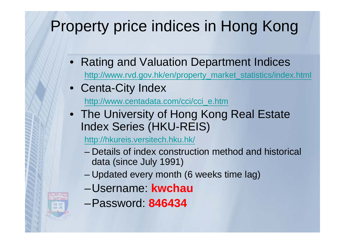# Property price indices in Hong Kong

- Rating and Valuation Department Indices http://www.rvd.gov.hk/en/property\_market\_statistics/index.html
- Centa-City Index

http://www.centadata.com/cci/cci\_e.htm

• The University of Hong Kong Real Estate Index Series (HKU-REIS)

http://hkureis.versitech.hku.hk/

- Details of index construction method and historical data (since July 1991)
- –Updated every month (6 weeks time lag)
- –Username: **kwchau**
- –Password: **846434**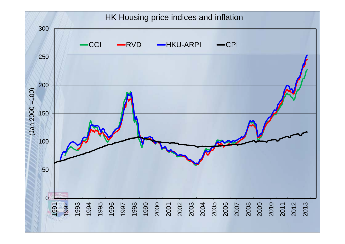